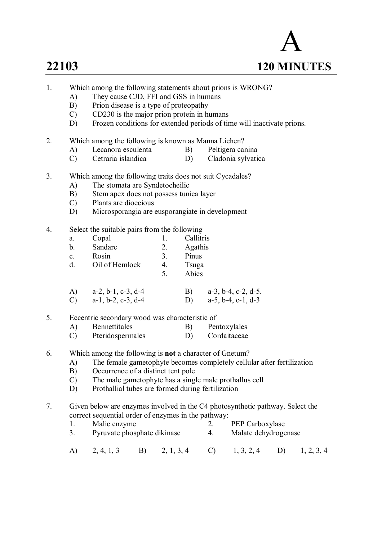# A **22103 120 MINUTES**

- 1. Which among the following statements about prions is WRONG?
	- A) They cause CJD, FFI and GSS in humans<br>B) Prion disease is a type of proteopathy
	- Prion disease is a type of proteopathy
	- C) CD230 is the major prion protein in humans
	- D) Frozen conditions for extended periods of time will inactivate prions.
- 2. Which among the following is known as Manna Lichen?
	-
	- A) Lecanora esculenta B) Peltigera canina<br>
	C) Cetraria islandica D) Cladonia svlvatio C) Cetraria islandica D) Cladonia sylvatica
- 3. Which among the following traits does not suit Cycadales?
	- A) The stomata are Syndetocheilic
	- B) Stem apex does not possess tunica layer
	- C) Plants are dioecious
	- D) Microsporangia are eusporangiate in development
- 4. Select the suitable pairs from the following
	- a. Copal 1. Callitris b. Sandarc 2. Agathis c. Rosin 3. Pinus d. Oil of Hemlock 4. Tsuga
- 5. Abies
	- A) a-2, b-1, c-3, d-4 B) a-3, b-4, c-2, d-5. C) a-1, b-2, c-3, d-4 D) a-5, b-4, c-1, d-3
- 5. Eccentric secondary wood was characteristic of
	- A) Bennettitales B) Pentoxylales
	- C) Pteridospermales D) Cordaitaceae
- 6. Which among the following is **not** a character of Gnetum?
	- A) The female gametophyte becomes completely cellular after fertilization
	- B) Occurrence of a distinct tent pole
	- C) The male gametophyte has a single male prothallus cell
	- D) Prothallial tubes are formed during fertilization
- 7. Given below are enzymes involved in the C4 photosynthetic pathway. Select the correct sequential order of enzymes in the pathway:
	- 1. Malic enzyme 2. PEP Carboxylase
	- 3. Pyruvate phosphate dikinase 4. Malate dehydrogenase
	- A) 2, 4, 1, 3 B) 2, 1, 3, 4 C) 1, 3, 2, 4 D) 1, 2, 3, 4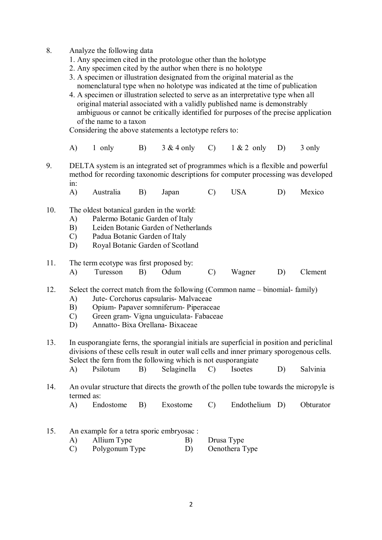- 8. Analyze the following data
	- 1. Any specimen cited in the protologue other than the holotype
	- 2. Any specimen cited by the author when there is no holotype
	- 3. A specimen or illustration designated from the original material as the nomenclatural type when no holotype was indicated at the time of publication
	- 4. A specimen or illustration selected to serve as an interpretative type when all original material associated with a validly published name is demonstrably ambiguous or cannot be critically identified for purposes of the precise application of the name to a taxon

Considering the above statements a lectotype refers to:

- A) 1 only B)  $3 & 4$  only C)  $1 & 2$  only D) 3 only
- 9. DELTA system is an integrated set of programmes which is a flexible and powerful method for recording taxonomic descriptions for computer processing was developed in:
	- A) Australia B) Japan C) USA D) Mexico
- 10. The oldest botanical garden in the world:
	- A) Palermo Botanic Garden of Italy
	- B) Leiden Botanic Garden of Netherlands
	- C) Padua Botanic Garden of Italy
	- D) Royal Botanic Garden of Scotland
- 11. The term ecotype was first proposed by:
	- A) Turesson B) Odum C) Wagner D) Clement

12. Select the correct match from the following (Common name – binomial- family)

- A) Jute- Corchorus capsularis- Malvaceae
- B) Opium- Papaver somniferum- Piperaceae
- C) Green gram- Vigna unguiculata- Fabaceae
- D) Annatto- Bixa Orellana- Bixaceae
- 13. In eusporangiate ferns, the sporangial initials are superficial in position and periclinal divisions of these cells result in outer wall cells and inner primary sporogenous cells. Select the fern from the following which is not eusporangiate A) Psilotum B) Selaginella C) Isoetes D) Salvinia
- 14. An ovular structure that directs the growth of the pollen tube towards the micropyle is termed as:
	- A) Endostome B) Exostome C) Endothelium D) Obturator
- 15. An example for a tetra sporic embryosac : A) Allium Type B) Drusa Type C) Polygonum Type D) Oenothera Type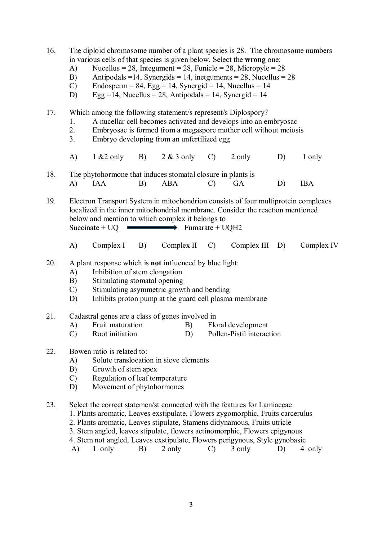- 16. The diploid chromosome number of a plant species is 28. The chromosome numbers in various cells of that species is given below. Select the **wrong** one:
	- A) Nucellus = 28, Integument = 28, Funicle = 28, Micropyle =  $28$
	- B) Antipodals = 14, Synergids = 14, inetguments = 28, Nucellus =  $28$
	- C) Endosperm =  $84$ , Egg = 14, Synergid = 14, Nucellus = 14
	- D) Egg =14, Nucellus = 28, Antipodals = 14, Synergid = 14
- 17. Which among the following statement/s represent/s Diplospory?
	- 1. A nucellar cell becomes activated and develops into an embryosac
	- 2. Embryosac is formed from a megaspore mother cell without meiosis
	- 3. Embryo developing from an unfertilized egg
	- A)  $1 \& 2 \text{ only}$  B)  $2 \& 3 \text{ only}$  C)  $2 \text{ only}$  D)  $1 \text{ only}$
- 18. The phytohormone that induces stomatal closure in plants is<br>A) IAA B) ABA C) GA A) IAA B) ABA C) GA D) IBA

19. Electron Transport System in mitochondrion consists of four multiprotein complexes localized in the inner mitochondrial membrane. Consider the reaction mentioned below and mention to which complex it belongs to  $Succinate + UQ$  Fumarate + UQH2

A) Complex I B) Complex II C) Complex III D) Complex IV

#### 20. A plant response which is **not** influenced by blue light:

- A) Inhibition of stem elongation
- B) Stimulating stomatal opening
- C) Stimulating asymmetric growth and bending
- D) Inhibits proton pump at the guard cell plasma membrane
- 21. Cadastral genes are a class of genes involved in
	- A) Fruit maturation B) Floral development
	- C) Root initiation D) Pollen-Pistil interaction

#### 22. Bowen ratio is related to:

- A) Solute translocation in sieve elements
- B) Growth of stem apex
- C) Regulation of leaf temperature
- D) Movement of phytohormones

23. Select the correct statemen/st connected with the features for Lamiaceae

- 1. Plants aromatic, Leaves exstipulate, Flowers zygomorphic, Fruits carcerulus
- 2. Plants aromatic, Leaves stipulate, Stamens didynamous, Fruits utricle
- 3. Stem angled, leaves stipulate, flowers actinomorphic, Flowers epigynous
- 4. Stem not angled, Leaves exstipulate, Flowers perigynous, Style gynobasic
- A) 1 only B) 2 only C) 3 only D) 4 only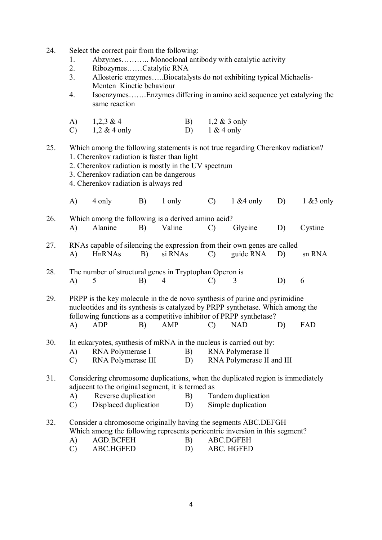- 24. Select the correct pair from the following:
	- 1. Abzymes........... Monoclonal antibody with catalytic activity<br>2. Ribozymes Catalytic RNA
	- 2. Ribozymes……Catalytic RNA
	- 3. Allosteric enzymes…..Biocatalysts do not exhibiting typical Michaelis-Menten Kinetic behaviour
	- 4. Isoenzymes…….Enzymes differing in amino acid sequence yet catalyzing the same reaction

| A) | $1,2,3 \& 4$    | B) | $1,2 \& 3$ only |
|----|-----------------|----|-----------------|
| C) | $1,2 \& 4$ only | D) | $1 & 4$ only    |

#### 25. Which among the following statements is not true regarding Cherenkov radiation? 1. Cherenkov radiation is faster than light

- 2. Cherenkov radiation is mostly in the UV spectrum
- 3. Cherenkov radiation can be dangerous
- 4. Cherenkov radiation is always red

|     | $\mathbf{A}$  | 4 only                                                        | B) | 1 only  | $\mathcal{C}$ | $1 & 4$ only                                                                                                                                                                                                                                     | D) | $1 \& 3$ only |
|-----|---------------|---------------------------------------------------------------|----|---------|---------------|--------------------------------------------------------------------------------------------------------------------------------------------------------------------------------------------------------------------------------------------------|----|---------------|
| 26. | A)            | Which among the following is a derived amino acid?<br>Alanine | B) | Valine  | $\mathcal{C}$ | Glycine                                                                                                                                                                                                                                          | D) | Cystine       |
|     |               |                                                               |    |         |               |                                                                                                                                                                                                                                                  |    |               |
| 27. | A)            | HnRNAs                                                        | B) | si RNAs | $\mathcal{C}$ | RNAs capable of silencing the expression from their own genes are called<br>guide RNA                                                                                                                                                            | D) | sn RNA        |
| 28. |               | The number of structural genes in Tryptophan Operon is        |    |         |               |                                                                                                                                                                                                                                                  |    |               |
|     | A)            | 5                                                             | B) | 4       | C)            | 3                                                                                                                                                                                                                                                | D) | 6             |
| 29. | A)            | <b>ADP</b>                                                    | B) | AMP     | $\mathcal{C}$ | PRPP is the key molecule in the de novo synthesis of purine and pyrimidine<br>nucleotides and its synthesis is catalyzed by PRPP synthetase. Which among the<br>following functions as a competitive inhibitor of PRPP synthetase?<br><b>NAD</b> | D) | <b>FAD</b>    |
|     |               |                                                               |    |         |               |                                                                                                                                                                                                                                                  |    |               |
| 30. | A)            | RNA Polymerase I                                              |    |         | B)            | In eukaryotes, synthesis of mRNA in the nucleus is carried out by:<br>RNA Polymerase II                                                                                                                                                          |    |               |
|     | $\mathcal{C}$ | RNA Polymerase III                                            |    |         | D)            | RNA Polymerase II and III                                                                                                                                                                                                                        |    |               |
| 31. |               | adjacent to the original segment, it is termed as             |    |         |               | Considering chromosome duplications, when the duplicated region is immediately                                                                                                                                                                   |    |               |
|     | A)            | Reverse duplication                                           |    | B)      |               | Tandem duplication                                                                                                                                                                                                                               |    |               |
|     | $\mathcal{C}$ | Displaced duplication                                         |    | D)      |               | Simple duplication                                                                                                                                                                                                                               |    |               |
| າາ  |               |                                                               |    |         |               | Consider a shromosome evisingly having the segments ADC DEECH                                                                                                                                                                                    |    |               |

# 32. Consider a chromosome originally having the segments ABC.DEFGH Which among the following represents pericentric inversion in this segment?

- A) AGD.BCFEH B) ABC.DGFEH
- C) ABC.HGFED D) ABC. HGFED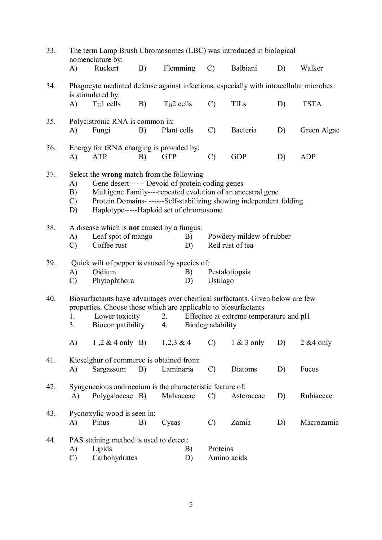| 33. | The term Lamp Brush Chromosomes (LBC) was introduced in biological<br>nomenclature by: |                                                                                                                                                                                                                                                                                |    |              |                  |                                             |    |              |
|-----|----------------------------------------------------------------------------------------|--------------------------------------------------------------------------------------------------------------------------------------------------------------------------------------------------------------------------------------------------------------------------------|----|--------------|------------------|---------------------------------------------|----|--------------|
|     | $\mathbf{A}$                                                                           | Ruckert                                                                                                                                                                                                                                                                        | B) | Flemming     | $\mathcal{C}$    | Balbiani                                    | D) | Walker       |
| 34. |                                                                                        | Phagocyte mediated defense against infections, especially with intracellular microbes<br>is stimulated by:                                                                                                                                                                     |    |              |                  |                                             |    |              |
|     | A)                                                                                     | $T_H1$ cells                                                                                                                                                                                                                                                                   | B) | $T_H2$ cells | $\mathcal{C}$    | <b>TILs</b>                                 | D) | <b>TSTA</b>  |
| 35. | A)                                                                                     | Polycistronic RNA is common in:<br>Fungi                                                                                                                                                                                                                                       | B) | Plant cells  | $\mathcal{C}$    | Bacteria                                    | D) | Green Algae  |
| 36. | $\mathbf{A}$                                                                           | Energy for tRNA charging is provided by:<br>ATP                                                                                                                                                                                                                                | B) | <b>GTP</b>   | $\mathcal{C}$    | <b>GDP</b>                                  | D) | <b>ADP</b>   |
| 37. | A)<br>B)<br>$\mathcal{C}$<br>D)                                                        | Select the wrong match from the following<br>Gene desert------ Devoid of protein coding genes<br>Multigene Family----repeated evolution of an ancestral gene<br>Protein Domains- ------Self-stabilizing showing independent folding<br>Haplotype-----Haploid set of chromosome |    |              |                  |                                             |    |              |
| 38. | A)<br>$\mathcal{C}$                                                                    | A disease which is <b>not</b> caused by a fungus:<br>Leaf spot of mango<br>Coffee rust                                                                                                                                                                                         |    | B)<br>D)     |                  | Powdery mildew of rubber<br>Red rust of tea |    |              |
| 39. | A)<br>$\mathcal{C}$                                                                    | Quick wilt of pepper is caused by species of:<br>Oidium<br>Phytophthora                                                                                                                                                                                                        |    | B)<br>D)     | Ustilago         | Pestalotiopsis                              |    |              |
| 40. | 1.                                                                                     | Biosurfactants have advantages over chemical surfactants. Given below are few<br>properties. Choose those which are applicable to biosurfactants<br>Lower toxicity                                                                                                             |    | 2.           |                  | Effectice at extreme temperature and pH     |    |              |
|     | 3.                                                                                     | Biocompatibility                                                                                                                                                                                                                                                               |    | 4.           | Biodegradability |                                             |    |              |
|     | A)                                                                                     | $1, 2 \& 4$ only B) $1, 2, 3 \& 4$                                                                                                                                                                                                                                             |    |              | $\mathcal{C}$ )  | $1 \& 3$ only                               | D) | $2 & 4$ only |
| 41. | A)                                                                                     | Kieselghur of commerce is obtained from:<br>Sargassum                                                                                                                                                                                                                          | B) | Laminaria    | $\mathcal{C}$    | Diatoms                                     | D) | Fucus        |
| 42. | A)                                                                                     | Syngenecious androecium is the characteristic feature of:<br>Polygalaceae B)                                                                                                                                                                                                   |    | Malvaceae    | $\mathcal{C}$    | Asteraceae                                  | D) | Rubiaceae    |
| 43. | A)                                                                                     | Pycnoxylic wood is seen in:<br>Pinus                                                                                                                                                                                                                                           | B) | Cycas        | $\mathcal{C}$    | Zamia                                       | D) | Macrozamia   |
| 44. | A)<br>C)                                                                               | PAS staining method is used to detect:<br>Lipids<br>Carbohydrates                                                                                                                                                                                                              |    | B)<br>D)     | Proteins         | Amino acids                                 |    |              |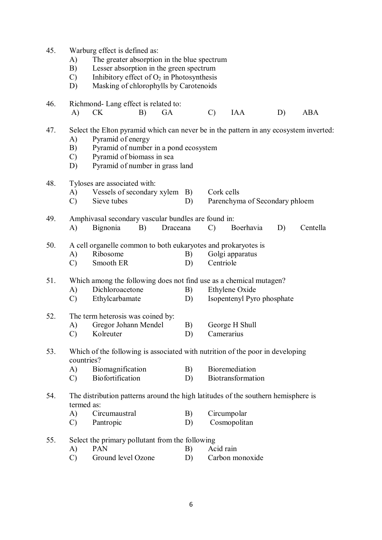| 45. | A)<br>B)<br>$\mathcal{C}$<br>D)   | Warburg effect is defined as:<br>The greater absorption in the blue spectrum<br>Lesser absorption in the green spectrum<br>Inhibitory effect of $O_2$ in Photosynthesis<br>Masking of chlorophylls by Carotenoids   |          |               |                                              |    |            |
|-----|-----------------------------------|---------------------------------------------------------------------------------------------------------------------------------------------------------------------------------------------------------------------|----------|---------------|----------------------------------------------|----|------------|
| 46. | A)                                | Richmond-Lang effect is related to:<br><b>CK</b><br>B)<br>GA                                                                                                                                                        |          | $\mathcal{C}$ | <b>IAA</b>                                   | D) | <b>ABA</b> |
| 47. | A)<br>B)<br>$\mathcal{C}$<br>D)   | Select the Elton pyramid which can never be in the pattern in any ecosystem inverted:<br>Pyramid of energy<br>Pyramid of number in a pond ecosystem<br>Pyramid of biomass in sea<br>Pyramid of number in grass land |          |               |                                              |    |            |
| 48. | A)<br>$\mathcal{C}$               | Tyloses are associated with:<br>Vessels of secondary xylem B)<br>Sieve tubes                                                                                                                                        | D)       | Cork cells    | Parenchyma of Secondary phloem               |    |            |
| 49. | A)                                | Amphivasal secondary vascular bundles are found in:<br>Bignonia<br>Draceana<br>Boerhavia<br>Centella<br>B)<br>$\mathcal{C}$<br>D)                                                                                   |          |               |                                              |    |            |
| 50. | A)<br>$\mathcal{C}$               | A cell organelle common to both eukaryotes and prokaryotes is<br>Ribosome<br>Smooth ER                                                                                                                              | B)<br>D) | Centriole     | Golgi apparatus                              |    |            |
| 51. | A)<br>$\mathcal{C}$               | Which among the following does not find use as a chemical mutagen?<br>Dichloroacetone<br>Ethylcarbamate                                                                                                             | B)<br>D) |               | Ethylene Oxide<br>Isopentenyl Pyro phosphate |    |            |
| 52. | A)<br>$\mathcal{C}$               | The term heterosis was coined by:<br>Gregor Johann Mendel<br>Kolreuter                                                                                                                                              | B)<br>D) |               | George H Shull<br>Camerarius                 |    |            |
| 53. | countries?<br>A)<br>$\mathcal{C}$ | Which of the following is associated with nutrition of the poor in developing<br>Biomagnification<br>Biofortification                                                                                               | B)<br>D) |               | Bioremediation<br>Biotransformation          |    |            |
| 54. | termed as:<br>A)<br>$\mathcal{C}$ | The distribution patterns around the high latitudes of the southern hemisphere is<br>Circumaustral<br>Pantropic                                                                                                     | B)<br>D) |               | Circumpolar<br>Cosmopolitan                  |    |            |
| 55. | A)<br>$\mathcal{C}$               | Select the primary pollutant from the following<br><b>PAN</b><br>Ground level Ozone                                                                                                                                 | B)<br>D) | Acid rain     | Carbon monoxide                              |    |            |

6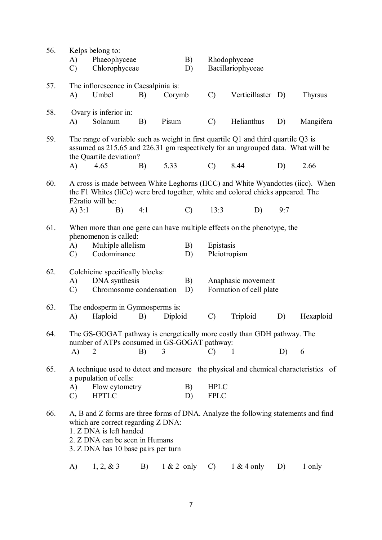| 56. |               | Kelps belong to:                              |     |         |               |                |                                                                                        |     |           |
|-----|---------------|-----------------------------------------------|-----|---------|---------------|----------------|----------------------------------------------------------------------------------------|-----|-----------|
|     | A)            | Phaeophyceae                                  |     |         | B)            |                | Rhodophyceae                                                                           |     |           |
|     | $\mathcal{C}$ | Chlorophyceae                                 |     |         | D)            |                | Bacillariophyceae                                                                      |     |           |
|     |               |                                               |     |         |               |                |                                                                                        |     |           |
| 57. | A)            | The inflorescence in Caesalpinia is:<br>Umbel | B)  | Corymb  |               | $\mathcal{C}$  | Verticillaster D)                                                                      |     | Thyrsus   |
|     |               |                                               |     |         |               |                |                                                                                        |     |           |
| 58. |               | Ovary is inferior in:                         |     |         |               |                |                                                                                        |     |           |
|     | A)            | Solanum                                       | B)  | Pisum   |               | $\mathcal{C}$  | Helianthus                                                                             | D)  | Mangifera |
|     |               |                                               |     |         |               |                |                                                                                        |     |           |
| 59. |               |                                               |     |         |               |                | The range of variable such as weight in first quartile $Q1$ and third quartile $Q3$ is |     |           |
|     |               |                                               |     |         |               |                | assumed as 215.65 and 226.31 gm respectively for an ungrouped data. What will be       |     |           |
|     |               | the Quartile deviation?                       |     |         |               |                |                                                                                        |     |           |
|     | A)            | 4.65                                          | B)  | 5.33    |               | $\mathcal{C}$  | 8.44                                                                                   | D)  | 2.66      |
| 60. |               |                                               |     |         |               |                | A cross is made between White Leghorns (IICC) and White Wyandottes (iicc). When        |     |           |
|     |               |                                               |     |         |               |                | the F1 Whites (IiCc) were bred together, white and colored chicks appeared. The        |     |           |
|     |               | F2ratio will be:                              |     |         |               |                |                                                                                        |     |           |
|     | A) $3:1$      | B)                                            | 4:1 |         | $\mathcal{C}$ | 13:3           | D)                                                                                     | 9:7 |           |
|     |               |                                               |     |         |               |                |                                                                                        |     |           |
| 61. |               |                                               |     |         |               |                | When more than one gene can have multiple effects on the phenotype, the                |     |           |
|     | A)            | phenomenon is called:<br>Multiple allelism    |     |         | B)            | Epistasis      |                                                                                        |     |           |
|     | $\mathcal{C}$ | Codominance                                   |     |         | D)            | Pleiotropism   |                                                                                        |     |           |
|     |               |                                               |     |         |               |                |                                                                                        |     |           |
| 62. |               | Colchicine specifically blocks:               |     |         |               |                |                                                                                        |     |           |
|     | A)            | DNA synthesis                                 |     |         | B)            |                | Anaphasic movement                                                                     |     |           |
|     | $\mathcal{C}$ | Chromosome condensation                       |     |         | D)            |                | Formation of cell plate                                                                |     |           |
|     |               |                                               |     |         |               |                |                                                                                        |     |           |
| 63. | A)            | The endosperm in Gymnosperms is:<br>Haploid   | B)  | Diploid |               | $\mathcal{C}$  | Triploid                                                                               | D)  | Hexaploid |
|     |               |                                               |     |         |               |                |                                                                                        |     |           |
| 64. |               |                                               |     |         |               |                | The GS-GOGAT pathway is energetically more costly than GDH pathway. The                |     |           |
|     |               | number of ATPs consumed in GS-GOGAT pathway:  |     |         |               |                |                                                                                        |     |           |
|     | A)            |                                               | B)  | 3       |               | $\mathcal{C}$  | - 1                                                                                    | D)  | 6         |
|     |               |                                               |     |         |               |                |                                                                                        |     |           |
| 65. |               |                                               |     |         |               |                | A technique used to detect and measure the physical and chemical characteristics of    |     |           |
|     | A)            | a population of cells:<br>Flow cytometry      |     |         | B)            | <b>HPLC</b>    |                                                                                        |     |           |
|     | $\mathcal{C}$ | <b>HPTLC</b>                                  |     |         | D)            | <b>FPLC</b>    |                                                                                        |     |           |
|     |               |                                               |     |         |               |                |                                                                                        |     |           |
| 66. |               |                                               |     |         |               |                | A, B and Z forms are three forms of DNA. Analyze the following statements and find     |     |           |
|     |               | which are correct regarding Z DNA:            |     |         |               |                |                                                                                        |     |           |
|     |               | 1. Z DNA is left handed                       |     |         |               |                |                                                                                        |     |           |
|     |               | 2. Z DNA can be seen in Humans                |     |         |               |                |                                                                                        |     |           |
|     |               | 3. Z DNA has 10 base pairs per turn           |     |         |               |                |                                                                                        |     |           |
|     | A)            | 1, 2, 8, 3                                    | B)  |         | $1 & 2$ only  | $\mathbf{C}$ ) | $1 & 4$ only                                                                           | D)  | 1 only    |
|     |               |                                               |     |         |               |                |                                                                                        |     |           |

7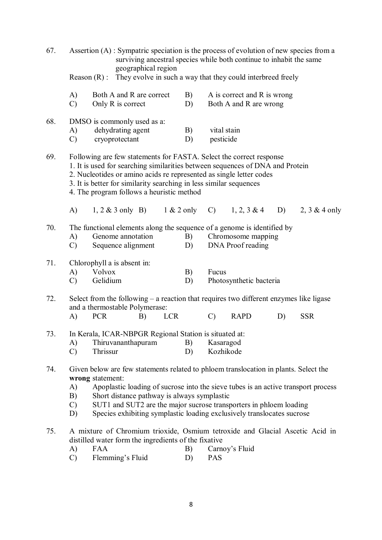| 67. | Assertion (A) : Sympatric speciation is the process of evolution of new species from a<br>surviving ancestral species while both continue to inhabit the same<br>geographical region<br>They evolve in such a way that they could interbreed freely<br>Reason $(R)$ :                                                                                                                                                           |                                                                                                                                                                                                                                                                                                                                                |              |                        |                                                       |    |                 |
|-----|---------------------------------------------------------------------------------------------------------------------------------------------------------------------------------------------------------------------------------------------------------------------------------------------------------------------------------------------------------------------------------------------------------------------------------|------------------------------------------------------------------------------------------------------------------------------------------------------------------------------------------------------------------------------------------------------------------------------------------------------------------------------------------------|--------------|------------------------|-------------------------------------------------------|----|-----------------|
|     |                                                                                                                                                                                                                                                                                                                                                                                                                                 |                                                                                                                                                                                                                                                                                                                                                |              |                        |                                                       |    |                 |
|     | A)<br>$\mathcal{C}$                                                                                                                                                                                                                                                                                                                                                                                                             | Both A and R are correct<br>Only R is correct                                                                                                                                                                                                                                                                                                  | B)<br>D)     |                        | A is correct and R is wrong<br>Both A and R are wrong |    |                 |
| 68. | A)<br>$\mathcal{C}$                                                                                                                                                                                                                                                                                                                                                                                                             | DMSO is commonly used as a:<br>dehydrating agent<br>cryoprotectant                                                                                                                                                                                                                                                                             | B)<br>D)     | pesticide              | vital stain                                           |    |                 |
| 69. |                                                                                                                                                                                                                                                                                                                                                                                                                                 | Following are few statements for FASTA. Select the correct response<br>1. It is used for searching similarities between sequences of DNA and Protein<br>2. Nucleotides or amino acids re represented as single letter codes<br>3. It is better for similarity searching in less similar sequences<br>4. The program follows a heuristic method |              |                        |                                                       |    |                 |
|     | A)                                                                                                                                                                                                                                                                                                                                                                                                                              | $1, 2 \& 3$ only B)                                                                                                                                                                                                                                                                                                                            | $1 & 2$ only | $\mathcal{C}$ )        | $1, 2, 3 \& 4$                                        | D) | 2, $3 & 4$ only |
| 70. | A)<br>$\mathcal{C}$                                                                                                                                                                                                                                                                                                                                                                                                             | The functional elements along the sequence of a genome is identified by<br>Genome annotation<br>Sequence alignment                                                                                                                                                                                                                             | B)<br>D)     |                        | Chromosome mapping<br>DNA Proof reading               |    |                 |
| 71. | A)<br>$\mathcal{C}$                                                                                                                                                                                                                                                                                                                                                                                                             | Chlorophyll a is absent in:<br><b>Volvox</b><br>Gelidium                                                                                                                                                                                                                                                                                       | B)<br>D)     | Fucus                  | Photosynthetic bacteria                               |    |                 |
| 72. |                                                                                                                                                                                                                                                                                                                                                                                                                                 | Select from the following $-$ a reaction that requires two different enzymes like ligase<br>and a thermostable Polymerase:                                                                                                                                                                                                                     |              |                        |                                                       |    |                 |
|     | A)                                                                                                                                                                                                                                                                                                                                                                                                                              | <b>PCR</b><br>B)                                                                                                                                                                                                                                                                                                                               | <b>LCR</b>   | $\mathcal{C}$          | <b>RAPD</b>                                           | D) | <b>SSR</b>      |
| 73. | A)<br>$\mathcal{C}$                                                                                                                                                                                                                                                                                                                                                                                                             | In Kerala, ICAR-NBPGR Regional Station is situated at:<br>Thiruvananthapuram<br>Thrissur                                                                                                                                                                                                                                                       | B)<br>D)     | Kasaragod<br>Kozhikode |                                                       |    |                 |
| 74. | Given below are few statements related to phloem translocation in plants. Select the<br>wrong statement:<br>Apoplastic loading of sucrose into the sieve tubes is an active transport process<br>A)<br>Short distance pathway is always symplastic<br>B)<br>SUT1 and SUT2 are the major sucrose transporters in phloem loading<br>$\mathcal{C}$<br>Species exhibiting symplastic loading exclusively translocates sucrose<br>D) |                                                                                                                                                                                                                                                                                                                                                |              |                        |                                                       |    |                 |
| 75. | A)<br>$\mathcal{C}$                                                                                                                                                                                                                                                                                                                                                                                                             | A mixture of Chromium trioxide, Osmium tetroxide and Glacial Ascetic Acid in<br>distilled water form the ingredients of the fixative<br><b>FAA</b><br>Flemming's Fluid                                                                                                                                                                         | B)<br>D)     | <b>PAS</b>             | Carnoy's Fluid                                        |    |                 |

8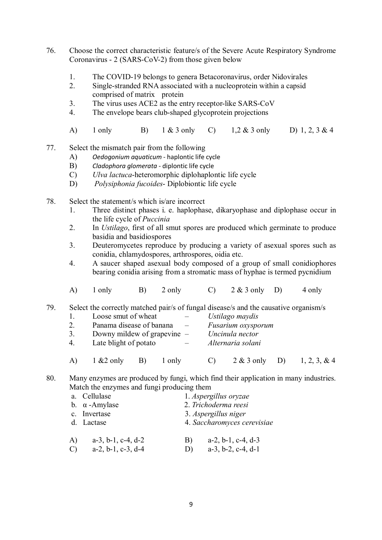- 76. Choose the correct characteristic feature/s of the Severe Acute Respiratory Syndrome Coronavirus - 2 (SARS-CoV-2) from those given below
	- 1. The COVID-19 belongs to genera Betacoronavirus, order Nidovirales
	- 2. Single-stranded RNA associated with a nucleoprotein within a capsid comprised of matrix protein
	- 3. The virus uses ACE2 as the entry receptor-like SARS-CoV
	- 4. The envelope bears club-shaped glycoprotein projections
	- A) 1 only B) 1 & 3 only C) 1,2 & 3 only D) 1, 2, 3 & 4
- 77. Select the mismatch pair from the following
	- A) *Oedogonium aquaticum* haplontic life cycle
	- B) *Cladophora glomerata* diplontic life cycle
	- C) *Ulva lactuca*-heteromorphic diplohaplontic life cycle
	- D) *Polysiphonia fucoides* Diplobiontic life cycle
- 78. Select the statement/s which is/are incorrect
	- 1. Three distinct phases i. e. haplophase, dikaryophase and diplophase occur in the life cycle of *Puccinia*
	- 2. In *Ustilago*, first of all smut spores are produced which germinate to produce basidia and basidiospores
	- 3. Deuteromycetes reproduce by producing a variety of asexual spores such as conidia, chlamydospores, arthrospores, oidia etc.
	- 4. A saucer shaped asexual body composed of a group of small conidiophores bearing conidia arising from a stromatic mass of hyphae is termed pycnidium
	- A)  $1 \text{ only}$  B)  $2 \text{ only}$  C)  $2 \& 3 \text{ only}$  D)  $4 \text{ only}$

79. Select the correctly matched pair/s of fungal disease/s and the causative organism/s

- 1. Loose smut of wheat *Ustilago maydis* 2. Panama disease of banana – *Fusarium oxysporum* 3. Downy mildew of grapevine – *Uncinula nector* 4. Late blight of potato – *Alternaria solani*
- A) 1 &2 only B) 1 only C) 2 & 3 only D) 1, 2, 3, & 4

80. Many enzymes are produced by fungi, which find their application in many industries. Match the enzymes and fungi producing them

|               | a. Cellulase                  |    | 1. Aspergillus oryzae         |
|---------------|-------------------------------|----|-------------------------------|
|               | b. $\alpha$ -Amylase          |    | 2. Trichoderma reesi          |
|               | c. Invertase                  |    | 3. Aspergillus niger          |
|               | d. Lactase                    |    | 4. Saccharomyces cerevisiae   |
| A)            | $a-3$ , $b-1$ , $c-4$ , $d-2$ | B) | $a-2$ , $b-1$ , $c-4$ , $d-3$ |
| $\mathcal{C}$ | $a-2, b-1, c-3, d-4$          | D) | $a-3$ , $b-2$ , $c-4$ , $d-1$ |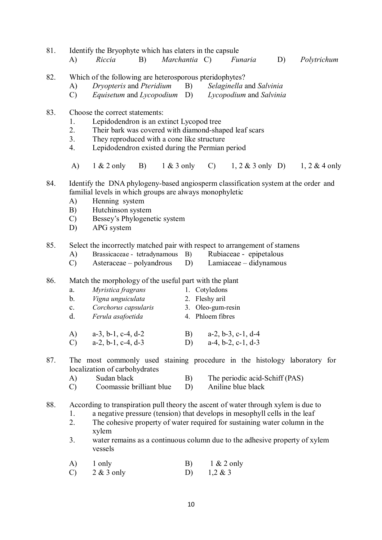| 81. | A)                               | Identify the Bryophyte which has elaters in the capsule<br>Riccia                                                                                                                                                                    | B) | Marchantia C) |          |                                                                          | Funaria                                                                                                                                                                                                                                | D) | Polytrichum                                                               |
|-----|----------------------------------|--------------------------------------------------------------------------------------------------------------------------------------------------------------------------------------------------------------------------------------|----|---------------|----------|--------------------------------------------------------------------------|----------------------------------------------------------------------------------------------------------------------------------------------------------------------------------------------------------------------------------------|----|---------------------------------------------------------------------------|
| 82. | A)<br>$\mathcal{C}$              | Which of the following are heterosporous pteridophytes?<br>Dryopteris and Pteridium<br><i>Equisetum</i> and <i>Lycopodium</i> D)                                                                                                     |    |               | B)       |                                                                          | Selaginella and Salvinia<br>Lycopodium and Salvinia                                                                                                                                                                                    |    |                                                                           |
| 83. | 1.<br>2.<br>3.<br>4.             | Choose the correct statements:<br>Lepidodendron is an extinct Lycopod tree<br>Their bark was covered with diamond-shaped leaf scars<br>They reproduced with a cone like structure<br>Lepidodendron existed during the Permian period |    |               |          |                                                                          |                                                                                                                                                                                                                                        |    |                                                                           |
|     | A)                               | $1 \& 2$ only                                                                                                                                                                                                                        | B) | $1 \& 3$ only |          | $\mathbf{C}$ )                                                           | $1, 2 \& 3$ only D)                                                                                                                                                                                                                    |    | $1, 2 \& 4$ only                                                          |
| 84. | A)<br>B)<br>$\mathcal{C}$<br>D)  | Identify the DNA phylogeny-based angiosperm classification system at the order and<br>familial levels in which groups are always monophyletic<br>Henning system<br>Hutchinson system<br>Bessey's Phylogenetic system<br>APG system   |    |               |          |                                                                          |                                                                                                                                                                                                                                        |    |                                                                           |
| 85. | A)<br>$\mathcal{C}$              | Select the incorrectly matched pair with respect to arrangement of stamens<br>Brassicaceae - tetradynamous B)<br>Asteraceae – polyandrous                                                                                            |    |               | D)       |                                                                          | Rubiaceae - epipetalous<br>Lamiaceae – didynamous                                                                                                                                                                                      |    |                                                                           |
| 86. | a.<br>b.<br>$\mathbf{c}$ .<br>d. | Match the morphology of the useful part with the plant<br>Myristica fragrans<br>Vigna unguiculata<br>Corchorus capsularis<br>Ferula asafoetida                                                                                       |    |               |          | 1. Cotyledons<br>2. Fleshy aril<br>3. Oleo-gum-resin<br>4. Phloem fibres |                                                                                                                                                                                                                                        |    |                                                                           |
|     | A)<br>$\mathcal{C}$              | $a-3$ , b-1, c-4, d-2<br>$a-2, b-1, c-4, d-3$                                                                                                                                                                                        |    |               |          |                                                                          | B) $a-2, b-3, c-1, d-4$<br>D) $a-4, b-2, c-1, d-3$                                                                                                                                                                                     |    |                                                                           |
| 87. | A)<br>$\mathcal{C}$              | localization of carbohydrates<br>Sudan black<br>Coomassie brilliant blue                                                                                                                                                             |    |               | B)<br>D) |                                                                          | The periodic acid-Schiff (PAS)<br>Aniline blue black                                                                                                                                                                                   |    | The most commonly used staining procedure in the histology laboratory for |
| 88. | 1.<br>2.<br>3.                   | According to transpiration pull theory the ascent of water through xylem is due to<br>xylem<br>vessels                                                                                                                               |    |               |          |                                                                          | a negative pressure (tension) that develops in mesophyll cells in the leaf<br>The cohesive property of water required for sustaining water column in the<br>water remains as a continuous column due to the adhesive property of xylem |    |                                                                           |
|     | A)<br>$\mathcal{C}$              | 1 only<br>$2 & 3$ only                                                                                                                                                                                                               |    |               | B)<br>D) | $1 & 2$ only<br>$1,2 \& 3$                                               |                                                                                                                                                                                                                                        |    |                                                                           |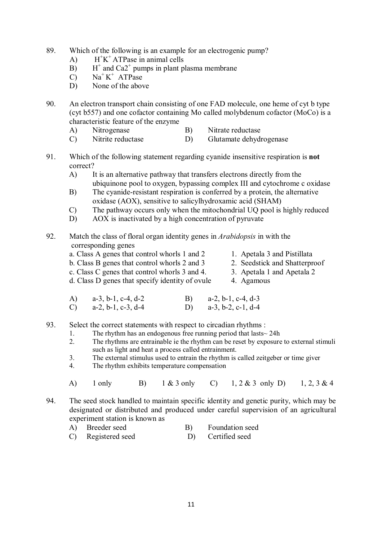- 89. Which of the following is an example for an electrogenic pump?
	- $\overline{A}$ +K <sup>+</sup> ATPase in animal cells
	- $B)$ <sup>+</sup> and Ca2<sup>+</sup> pumps in plant plasma membrane
- $(C)$  Na<sup>+</sup>K<sup>+</sup> ATPase
	- D) None of the above
- 90. An electron transport chain consisting of one FAD molecule, one heme of cyt b type (cyt b557) and one cofactor containing Mo called molybdenum cofactor (MoCo) is a characteristic feature of the enzyme
	- A) Nitrogenase B) Nitrate reductase
	- C) Nitrite reductase D) Glutamate dehydrogenase
- 91. Which of the following statement regarding cyanide insensitive respiration is **not**  correct?
	- A) It is an alternative pathway that transfers electrons directly from the ubiquinone pool to oxygen, bypassing complex III and cytochrome c oxidase
	- B) The cyanide-resistant respiration is conferred by a protein, the alternative oxidase (AOX), sensitive to salicylhydroxamic acid (SHAM)
	- C) The pathway occurs only when the mitochondrial UQ pool is highly reduced
	- D) AOX is inactivated by a high concentration of pyruvate

#### 92. Match the class of floral organ identity genes in *Arabidopsis* in with the corresponding genes

- a. Class A genes that control whorls 1 and 2 1. Apetala 3 and Pistillata
- b. Class B genes that control whorls 2 and 3 2. Seedstick and Shatterproof
- c. Class C genes that control whorls 3 and 4. 3. Apetala 1 and Apetala 2
- d. Class D genes that specify identity of ovule 4. Agamous
- A) a-3, b-1, c-4, d-2 B) a-2, b-1, c-4, d-3 C) a-2, b-1, c-3, d-4 D) a-3, b-2, c-1, d-4
- 93. Select the correct statements with respect to circadian rhythms :
	- 1. The rhythm has an endogenous free running period that lasts  $\sim$  24h<br>2. The rhythms are entrainable ie the rhythm can be reset by exposure
		- 2. The rhythms are entrainable ie the rhythm can be reset by exposure to external stimuli such as light and heat a process called entrainment.
		- 3. The external stimulus used to entrain the rhythm is called zeitgeber or time giver
		- 4. The rhythm exhibits temperature compensation
		- A) 1 only B) 1 & 3 only C) 1, 2 & 3 only D) 1, 2, 3 & 4
- 94. The seed stock handled to maintain specific identity and genetic purity, which may be designated or distributed and produced under careful supervision of an agricultural experiment station is known as
	- A) Breeder seed B) Foundation seed
	- C) Registered seed D) Certified seed
- 
- 
-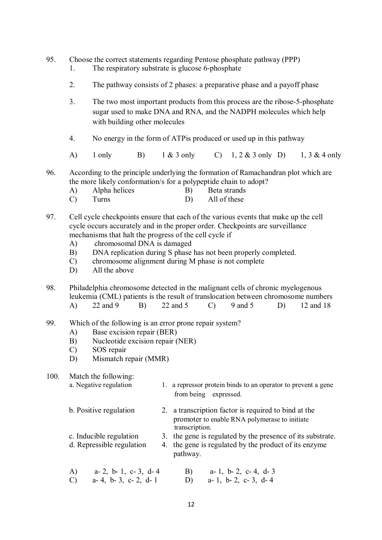- 95. Choose the correct statements regarding Pentose phosphate pathway (PPP)
	- 1. The respiratory substrate is glucose 6-phosphate
	- 2. The pathway consists of 2 phases: a preparative phase and a payoff phase
	- 3. The two most important products from this process are the ribose-5-phosphate sugar used to make DNA and RNA, and the NADPH molecules which help with building other molecules
	- 4. No energy in the form of ATPis produced or used up in this pathway
	- A) 1 only B) 1 & 3 only C) 1, 2 & 3 only D) 1, 3 & 4 only

96. According to the principle underlying the formation of Ramachandran plot which are the more likely conformation/s for a polypeptide chain to adopt?

- A) Alpha helices B) Beta strands
- C) Turns D) All of these
- 97. Cell cycle checkpoints ensure that each of the various events that make up the cell cycle occurs accurately and in the proper order. Checkpoints are surveillance mechanisms that halt the progress of the cell cycle if
	- A) chromosomal DNA is damaged
	- B) DNA replication during S phase has not been properly completed.
	- C) chromosome alignment during M phase is not complete
	- D) All the above

98. Philadelphia chromosome detected in the malignant cells of chronic myelogenous leukemia (CML) patients is the result of translocation between chromosome numbers A) 22 and 9 B) 22 and 5 C) 9 and 5 D) 12 and 18

- 99. Which of the following is an error prone repair system?
	- A) Base excision repair (BER)
	- B) Nucleotide excision repair (NER)
	- C) SOS repair
	- D) Mismatch repair (MMR)

## 100. Match the following:

| a. Negative regulation       | 1. a repressor protein binds to an operator to prevent a gene<br>from being expressed.                                  |
|------------------------------|-------------------------------------------------------------------------------------------------------------------------|
| b. Positive regulation       | 2. a transcription factor is required to bind at the<br>promoter to enable RNA polymerase to initiate<br>transcription. |
| c. Inducible regulation      | 3. the gene is regulated by the presence of its substrate.                                                              |
| d. Repressible regulation    | 4. the gene is regulated by the product of its enzyme<br>pathway.                                                       |
| a- 2, b- 1, c- 3, d- 4<br>A) | B)<br>a-1, b-2, c-4, d-3                                                                                                |

C) a- 4, b- 3, c- 2, d- 1 D) a- 1, b- 2, c- 3, d- 4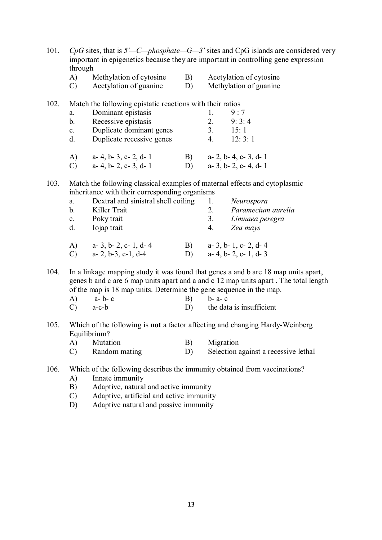| 101. | $CpG$ sites, that is $5'$ —C—phosphate—G—3' sites and CpG islands are considered very<br>important in epigenetics because they are important in controlling gene expression<br>through                         |                                                                                              |            |             |                                                                                                                                                                                                        |  |
|------|----------------------------------------------------------------------------------------------------------------------------------------------------------------------------------------------------------------|----------------------------------------------------------------------------------------------|------------|-------------|--------------------------------------------------------------------------------------------------------------------------------------------------------------------------------------------------------|--|
|      | A)                                                                                                                                                                                                             | Methylation of cytosine                                                                      | B)         |             | Acetylation of cytosine                                                                                                                                                                                |  |
|      | $\mathcal{C}$                                                                                                                                                                                                  | Acetylation of guanine                                                                       | D)         |             | Methylation of guanine                                                                                                                                                                                 |  |
| 102. |                                                                                                                                                                                                                | Match the following epistatic reactions with their ratios                                    |            |             |                                                                                                                                                                                                        |  |
|      | a.                                                                                                                                                                                                             | Dominant epistasis                                                                           |            | 1.          | 9:7                                                                                                                                                                                                    |  |
|      | $b_{-}$                                                                                                                                                                                                        | Recessive epistasis                                                                          |            | 2.          | 9:3:4                                                                                                                                                                                                  |  |
|      | $c_{\cdot}$                                                                                                                                                                                                    | Duplicate dominant genes                                                                     |            | 3.          | 15:1                                                                                                                                                                                                   |  |
|      | d.                                                                                                                                                                                                             | Duplicate recessive genes                                                                    |            | 4.          | 12:3:1                                                                                                                                                                                                 |  |
|      | A)                                                                                                                                                                                                             | a- 4, b- 3, c- 2, d- 1                                                                       | <b>B</b> ) |             | a- 2, b- 4, c- 3, d- 1                                                                                                                                                                                 |  |
|      | $\mathcal{C}$                                                                                                                                                                                                  | a- 4, b- 2, c- 3, d- 1                                                                       | D)         |             | $a-3$ , $b-2$ , $c-4$ , $d-1$                                                                                                                                                                          |  |
| 103. | Match the following classical examples of maternal effects and cytoplasmic<br>inheritance with their corresponding organisms                                                                                   |                                                                                              |            |             |                                                                                                                                                                                                        |  |
|      | a.                                                                                                                                                                                                             | Dextral and sinistral shell coiling                                                          |            | 1.          | Neurospora                                                                                                                                                                                             |  |
|      | $b_{\cdot}$                                                                                                                                                                                                    | Killer Trait                                                                                 |            | 2.          | Paramecium aurelia                                                                                                                                                                                     |  |
|      | $c_{\cdot}$                                                                                                                                                                                                    | Poky trait                                                                                   |            | 3.          | Limnaea peregra                                                                                                                                                                                        |  |
|      | d.                                                                                                                                                                                                             | Iojap trait                                                                                  |            | 4.          | Zea mays                                                                                                                                                                                               |  |
|      | A)                                                                                                                                                                                                             | a- 3, b- 2, c- 1, d- 4                                                                       | B)         |             | a- 3, b- 1, c- 2, d- 4                                                                                                                                                                                 |  |
|      | $\mathcal{C}$                                                                                                                                                                                                  | $a-2, b-3, c-1, d-4$                                                                         | D)         |             | a- 4, b- 2, c- 1, d- 3                                                                                                                                                                                 |  |
| 104. | A)<br>C)                                                                                                                                                                                                       | of the map is 18 map units. Determine the gene sequence in the map.<br>a-b-c<br>$a-c-b$      | B)<br>D)   | $b - a - c$ | In a linkage mapping study it was found that genes a and b are 18 map units apart,<br>genes b and c are 6 map units apart and a and c 12 map units apart. The total length<br>the data is insufficient |  |
|      |                                                                                                                                                                                                                |                                                                                              |            |             |                                                                                                                                                                                                        |  |
| 105. |                                                                                                                                                                                                                | Which of the following is not a factor affecting and changing Hardy-Weinberg<br>Equilibrium? |            |             |                                                                                                                                                                                                        |  |
|      | A)                                                                                                                                                                                                             | Mutation                                                                                     | B)         | Migration   |                                                                                                                                                                                                        |  |
|      | $\mathcal{C}$                                                                                                                                                                                                  | Random mating                                                                                | D)         |             | Selection against a recessive lethal                                                                                                                                                                   |  |
| 106. | Which of the following describes the immunity obtained from vaccinations?<br>Innate immunity<br>A)<br>Adaptive, natural and active immunity<br>B)<br>Adaptive, artificial and active immunity<br>$\mathcal{C}$ |                                                                                              |            |             |                                                                                                                                                                                                        |  |

D) Adaptive natural and passive immunity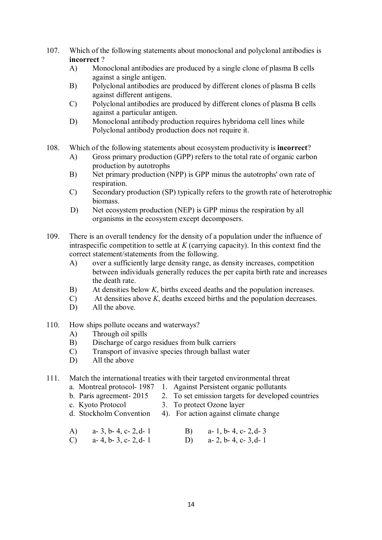- 107. Which of the following statements about monoclonal and polyclonal antibodies is **incorrect** ?
	- A) Monoclonal antibodies are produced by a single clone of plasma B cells against a single antigen.
	- B) Polyclonal antibodies are produced by different clones of plasma B cells against different antigens.
	- C) Polyclonal antibodies are produced by different clones of plasma B cells against a particular antigen.
	- D) Monoclonal antibody production requires hybridoma cell lines while Polyclonal antibody production does not require it.
- 108. Which of the following statements about ecosystem productivity is **incorrect**?
	- A) Gross primary production (GPP) refers to the total rate of organic carbon production by autotrophs
	- B) Net primary production (NPP) is GPP minus the autotrophs' own rate of respiration.
	- C) Secondary production (SP) typically refers to the growth rate of heterotrophic biomass.
	- D) Net ecosystem production (NEP) is GPP minus the respiration by all organisms in the ecosystem except decomposers.
- 109. There is an overall tendency for the density of a population under the influence of intraspecific competition to settle at *K* (carrying capacity). In this context find the correct statement/statements from the following.
	- A) over a sufficiently large density range, as density increases, competition between individuals generally reduces the per capita birth rate and increases the death rate.
	- B) At densities below *K*, births exceed deaths and the population increases.
	- C) At densities above *K*, deaths exceed births and the population decreases.
	- D) All the above.
- 110. How ships pollute oceans and waterways?
	- A) Through oil spills
	- B) Discharge of cargo residues from bulk carriers
	- C) Transport of invasive species through ballast water
	- D) All the above

## 111. Match the international treaties with their targeted environmental threat

- a. Montreal protocol- 1987 1. Against Persistent organic pollutants
- b. Paris agreement- 2015 2. To set emission targets for developed countries
- c. Kyoto Protocol 3. To protect Ozone layer
- d. Stockholm Convention 4). For action against climate change
- A) a- 3, b- 4, c- 2,d- 1 B) a- 1, b- 4, c- 2,d- 3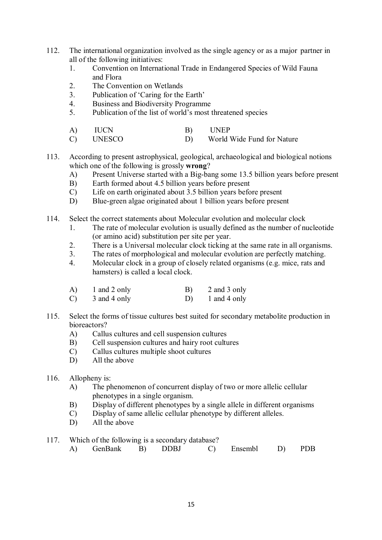- 112. The international organization involved as the single agency or as a major partner in all of the following initiatives:
	- 1. Convention on International Trade in Endangered Species of Wild Fauna and Flora
	- 2. The Convention on Wetlands
	- 3. Publication of 'Caring for the Earth'
	- 4. Business and Biodiversity Programme
	- 5. Publication of the list of world's most threatened species
	- A) IUCN B) UNEP
	- C) UNESCO D) World Wide Fund for Nature
- 113. According to present astrophysical, geological, archaeological and biological notions which one of the following is grossly **wrong**?
	- A) Present Universe started with a Big-bang some 13.5 billion years before present B) Earth formed about 4.5 billion years before present
	- Earth formed about 4.5 billion years before present
	- C) Life on earth originated about 3.5 billion years before present
	- D) Blue-green algae originated about 1 billion years before present
- 114. Select the correct statements about Molecular evolution and molecular clock
	- 1. The rate of molecular evolution is usually defined as the number of nucleotide (or amino acid) substitution per site per year.
	- 2. There is a Universal molecular clock ticking at the same rate in all organisms.
	- 3. The rates of morphological and molecular evolution are perfectly matching.
	- 4. Molecular clock in a group of closely related organisms (e.g. mice, rats and hamsters) is called a local clock.

| A)            | 1 and 2 only | B) | 2 and 3 only |
|---------------|--------------|----|--------------|
| $\mathcal{C}$ | 3 and 4 only | D) | 1 and 4 only |

- 115. Select the forms of tissue cultures best suited for secondary metabolite production in bioreactors?
	- A) Callus cultures and cell suspension cultures
	- B) Cell suspension cultures and hairy root cultures
	- C) Callus cultures multiple shoot cultures
	- D) All the above

## 116. Allopheny is:

- A) The phenomenon of concurrent display of two or more allelic cellular phenotypes in a single organism.
- B) Display of different phenotypes by a single allele in different organisms
- C) Display of same allelic cellular phenotype by different alleles.
- D) All the above
- 117. Which of the following is a secondary database?
	- A) GenBank B) DDBJ C) Ensembl D) PDB